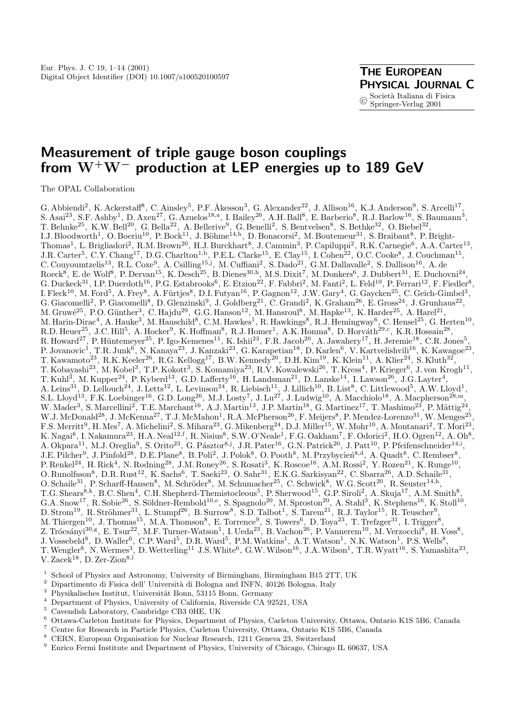# **Measurement of triple gauge boson couplings from W+W***<sup>−</sup>* **production at LEP energies up to 189 GeV**

The OPAL Collaboration

G. Abbiendi<sup>2</sup>, K. Ackerstaff<sup>8</sup>, C. Ainsley<sup>5</sup>, P.F. Åkesson<sup>3</sup>, G. Alexander<sup>22</sup>, J. Allison<sup>16</sup>, K.J. Anderson<sup>9</sup>, S. Arcelli<sup>17</sup>, S. Asai<sup>23</sup>, S.F. Ashby<sup>1</sup>, D. Axen<sup>27</sup>, G. Azuelos<sup>18,a</sup>, I. Bailey<sup>26</sup>, A.H. Ball<sup>8</sup>, E. Barberio<sup>8</sup>, R.J. Barlow<sup>16</sup>, S. Baumann<sup>3</sup>, T. Behnke<sup>25</sup>, K.W. Bell<sup>20</sup>, G. Bella<sup>22</sup>, A. Bellerive<sup>9</sup>, G. Benelli<sup>2</sup>, S. Bentvelsen<sup>8</sup>, S. Bethke<sup>32</sup>, O. Biebel<sup>32</sup>, I.J. Bloodworth<sup>1</sup>, O. Boeriu<sup>10</sup>, P. Bock<sup>11</sup>, J. Böhme<sup>14,h</sup>, D. Bonacorsi<sup>2</sup>, M. Boutemeur<sup>31</sup>, S. Braibant<sup>8</sup>, P. Bright-Thomas<sup>1</sup>, L. Brigliadori<sup>2</sup>, R.M. Brown<sup>20</sup>, H.J. Burckhart<sup>8</sup>, J. Cammin<sup>3</sup>, P. Capiluppi<sup>2</sup>, R.K. Carnegie<sup>6</sup>, A.A. Carter<sup>13</sup>, J.R. Carter<sup>5</sup>, C.Y. Chang<sup>17</sup>, D.G. Charlton<sup>1,b</sup>, P.E.L. Clarke<sup>15</sup>, E. Clay<sup>15</sup>, I. Cohen<sup>22</sup>, O.C. Cooke<sup>8</sup>, J. Couchman<sup>15</sup>, C. Couyoumtzelis<sup>13</sup>, R.L. Coxe<sup>9</sup>, A. Csilling<sup>15,j</sup>, M. Cuffiani<sup>2</sup>, S. Dado<sup>21</sup>, G.M. Dallavalle<sup>2</sup>, S. Dallison<sup>16</sup>, A. de  $\text{Roeck}^8$ , E. de Wolf<sup>8</sup>, P. Dervan<sup>15</sup>, K. Desch<sup>25</sup>, B. Dienes<sup>30,h</sup>, M.S. Dixit<sup>7</sup>, M. Donkers<sup>6</sup>, J. Dubbert<sup>31</sup>, E. Duchovni<sup>24</sup>, G. Duckeck<sup>31</sup>, I.P. Duerdoth<sup>16</sup>, P.G. Estabrooks<sup>6</sup>, E. Etzion<sup>22</sup>, F. Fabbri<sup>2</sup>, M. Fanti<sup>2</sup>, L. Feld<sup>10</sup>, P. Ferrari<sup>12</sup>, F. Fiedler<sup>8</sup>, I. Fleck<sup>10</sup>, M. Ford<sup>5</sup>, A. Frey<sup>8</sup>, A. Fürtjes<sup>8</sup>, D.I. Futyan<sup>16</sup>, P. Gagnon<sup>12</sup>, J.W. Gary<sup>4</sup>, G. Gaycken<sup>25</sup>, C. Geich-Gimbel<sup>3</sup>, G. Giacomelli<sup>2</sup>, P. Giacomelli<sup>8</sup>, D. Glenzinski<sup>9</sup>, J. Goldberg<sup>21</sup>, C. Grandi<sup>2</sup>, K. Graham<sup>26</sup>, E. Gross<sup>24</sup>, J. Grunhaus<sup>22</sup>, M. Gruwé<sup>25</sup>, P.O. Günther<sup>3</sup>, C. Hajdu<sup>29</sup>, G.G. Hanson<sup>12</sup>, M. Hansroul<sup>8</sup>, M. Hapke<sup>13</sup>, K. Harder<sup>25</sup>, A. Harel<sup>21</sup>, M. Harin-Dirac<sup>4</sup>, A. Hauke<sup>3</sup>, M. Hauschild<sup>8</sup>, C.M. Hawkes<sup>1</sup>, R. Hawkings<sup>8</sup>, R.J. Hemingway<sup>6</sup>, C. Hensel<sup>25</sup>, G. Herten<sup>10</sup>, R.D. Heuer<sup>25</sup>, J.C. Hill<sup>5</sup>, A. Hocker<sup>9</sup>, K. Hoffman<sup>8</sup>, R.J. Homer<sup>1</sup>, A.K. Honma<sup>8</sup>, D. Horváth<sup>29,c</sup>, K.R. Hossain<sup>28</sup>, R. Howard<sup>27</sup>, P. Hüntemeyer<sup>25</sup>, P. Igo-Kemenes<sup>11</sup>, K. Ishii<sup>23</sup>, F.R. Jacob<sup>20</sup>, A. Jawahery<sup>17</sup>, H. Jeremie<sup>18</sup>, C.R. Jones<sup>5</sup>, P. Jovanovic<sup>1</sup>, T.R. Junk<sup>6</sup>, N. Kanaya<sup>23</sup>, J. Kanzaki<sup>23</sup>, G. Karapetian<sup>18</sup>, D. Karlen<sup>6</sup>, V. Kartvelishvili<sup>16</sup>, K. Kawagoe<sup>23</sup>, T. Kawamoto<sup>23</sup>, R.K. Keeler<sup>26</sup>, R.G. Kellogg<sup>17</sup>, B.W. Kennedy<sup>20</sup>, D.H. Kim<sup>19</sup>, K. Klein<sup>11</sup>, A. Klier<sup>24</sup>, S. Kluth<sup>32</sup>, T. Kobayashi<sup>23</sup>, M. Kobel<sup>3</sup>, T.P. Kokott<sup>3</sup>, S. Komamiya<sup>23</sup>, R.V. Kowalewski<sup>26</sup>, T. Kress<sup>4</sup>, P. Krieger<sup>6</sup>, J. von Krogh<sup>11</sup>, T. Kuhl<sup>3</sup>, M. Kupper<sup>24</sup>, P. Kyberd<sup>13</sup>, G.D. Lafferty<sup>16</sup>, H. Landsman<sup>21</sup>, D. Lanske<sup>14</sup>, I. Lawson<sup>26</sup>, J.G. Layter<sup>4</sup>, A. Leins<sup>31</sup>, D. Lellouch<sup>24</sup>, J. Letts<sup>12</sup>, L. Levinson<sup>24</sup>, R. Liebisch<sup>11</sup>, J. Lillich<sup>10</sup>, B. List<sup>8</sup>, C. Littlewood<sup>5</sup>, A.W. Lloyd<sup>1</sup>, S.L. Lloyd<sup>13</sup>, F.K. Loebinger<sup>16</sup>, G.D. Long<sup>26</sup>, M.J. Losty<sup>7</sup>, J. Lu<sup>27</sup>, J. Ludwig<sup>10</sup>, A. Macchiolo<sup>18</sup>, A. Macpherson<sup>28,m</sup>, W. Mader<sup>3</sup>, S. Marcellini<sup>2</sup>, T.E. Marchant<sup>16</sup>, A.J. Martin<sup>13</sup>, J.P. Martin<sup>18</sup>, G. Martinez<sup>17</sup>, T. Mashimo<sup>23</sup>, P. Mättig<sup>24</sup>, W.J. McDonald<sup>28</sup>, J. McKenna<sup>27</sup>, T.J. McMahon<sup>1</sup>, R.A. McPherson<sup>26</sup>, F. Meijers<sup>8</sup>, P. Mendez-Lorenzo<sup>31</sup>, W. Menges<sup>25</sup>, F.S. Merritt<sup>9</sup>, H. Mes<sup>7</sup>, A. Michelini<sup>2</sup>, S. Mihara<sup>23</sup>, G. Mikenberg<sup>24</sup>, D.J. Miller<sup>15</sup>, W. Mohr<sup>10</sup>, A. Montanari<sup>2</sup>, T. Mori<sup>23</sup>, K. Nagai<sup>8</sup>, I. Nakamura<sup>23</sup>, H.A. Neal<sup>12,f</sup>, R. Nisius<sup>8</sup>, S.W. O'Neale<sup>1</sup>, F.G. Oakham<sup>7</sup>, F. Odorici<sup>2</sup>, H.O. Ogren<sup>12</sup>, A. Oh<sup>8</sup>, A. Okpara<sup>11</sup>, M.J. Oreglia<sup>9</sup>, S. Orito<sup>23</sup>, G. Pásztor<sup>8,j</sup>, J.R. Pater<sup>16</sup>, G.N. Patrick<sup>20</sup>, J. Patt<sup>10</sup>, P. Pfeifenschneider<sup>14,i</sup>, J.E. Pilcher<sup>9</sup>, J. Pinfold<sup>28</sup>, D.E. Plane<sup>8</sup>, B. Poli<sup>2</sup>, J. Polok<sup>8</sup>, O. Pooth<sup>8</sup>, M. Przybycień<sup>8,d</sup>, A. Quadt<sup>8</sup>, C. Rembser<sup>8</sup>, P. Renkel<sup>24</sup>, H. Rick<sup>4</sup>, N. Rodning<sup>28</sup>, J.M. Roney<sup>26</sup>, S. Rosati<sup>3</sup>, K. Roscoe<sup>16</sup>, A.M. Rossi<sup>2</sup>, Y. Rozen<sup>21</sup>, K. Runge<sup>10</sup>, O. Runolfsson<sup>8</sup>, D.R. Rust<sup>12</sup>, K. Sachs<sup>6</sup>, T. Saeki<sup>23</sup>, O. Sahr<sup>31</sup>, E.K.G. Sarkisyan<sup>22</sup>, C. Sbarra<sup>26</sup>, A.D. Schaile<sup>31</sup>, O. Schaile<sup>31</sup>, P. Scharff-Hansen<sup>8</sup>, M. Schröder<sup>8</sup>, M. Schumacher<sup>25</sup>, C. Schwick<sup>8</sup>, W.G. Scott<sup>20</sup>, R. Seuster<sup>14,h</sup>, T.G. Shears<sup>8,k</sup>, B.C. Shen<sup>4</sup>, C.H. Shepherd-Themistocleous<sup>5</sup>, P. Sherwood<sup>15</sup>, G.P. Siroli<sup>2</sup>, A. Skuja<sup>17</sup>, A.M. Smith<sup>8</sup>, G.A. Snow<sup>17</sup>, R. Sobie<sup>26</sup>, S. Söldner-Rembold<sup>10,e</sup>, S. Spagnolo<sup>20</sup>, M. Sproston<sup>20</sup>, A. Stahl<sup>3</sup>, K. Stephens<sup>16</sup>, K. Stoll<sup>10</sup>,  $D.$  Strom<sup>19</sup>, R. Ströhmer<sup>31</sup>, L. Stumpf<sup>26</sup>, B. Surrow<sup>8</sup>, S.D. Talbot<sup>1</sup>, S. Tarem<sup>21</sup>, R.J. Taylor<sup>15</sup>, R. Teuscher<sup>9</sup>, M. Thiergen<sup>10</sup>, J. Thomas<sup>15</sup>, M.A. Thomson<sup>8</sup>, E. Torrence<sup>9</sup>, S. Towers<sup>6</sup>, D. Toya<sup>23</sup>, T. Trefzger<sup>31</sup>, I. Trigger<sup>8</sup>, Z. Trócsányi $^{30,\text{g}},$  E. Tsur<sup>22</sup>, M.F. Turner-Watson<sup>1</sup>, I. Ueda<sup>23</sup>, B. Vachon<sup>26</sup>, P. Vannerem<sup>10</sup>, M. Verzocchi<sup>8</sup>, H. Voss<sup>8</sup>, J. Vossebeld<sup>8</sup>, D. Waller<sup>6</sup>, C.P. Ward<sup>5</sup>, D.R. Ward<sup>5</sup>, P.M. Watkins<sup>1</sup>, A.T. Watson<sup>1</sup>, N.K. Watson<sup>1</sup>, P.S. Wells<sup>8</sup>, T. Wengler<sup>8</sup>, N. Wermes<sup>3</sup>, D. Wetterling<sup>11</sup> J.S. White<sup>6</sup>, G.W. Wilson<sup>16</sup>, J.A. Wilson<sup>1</sup>, T.R. Wyatt<sup>16</sup>, S. Yamashita<sup>23</sup>, V. Zacek<sup>18</sup>, D. Zer-Zion<sup>8,1</sup>

- 
- 
- 
- 
- 
- $^1$  School of Physics and Astronomy, University of Birmingham, Birmingham B15 2TT, UK $^2$  Dipartimento di Fisica dell' Università di Bologna and INFN, 40126 Bologna, Italy $^3$ Physikalisches Institut, Universität Bonn, 53
- 
- 
-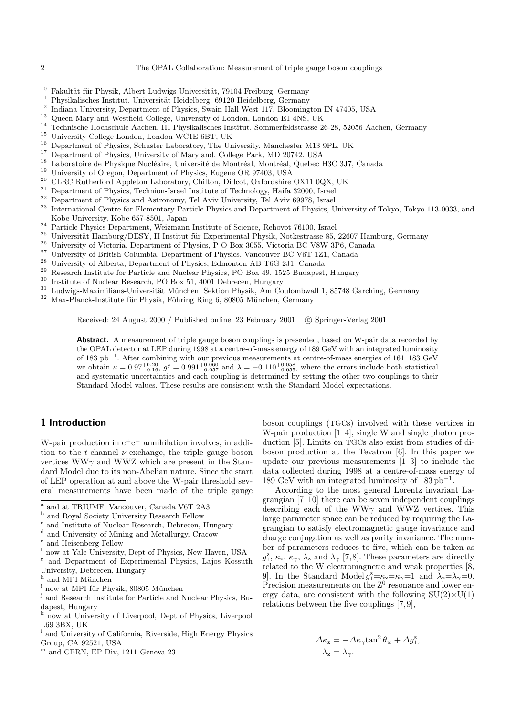- 
- 
- 
- 
- 
- 
- 
- 
- 
- 
- 
- 
- 
- $^{10}$  Fakultät für Physik, Albert Ludwigs Universität, 79104 Freiburg, Germany <br/> $^{11}$  Physikalisches Institut, Universität Heidelberg, 69120 Heidelberg, Germany <br/> $^{12}$  Indiana University, Department of Physics, Kobe University, Kobe 657-8501, Japan  $^{24}$  Particle Physics Department, Weizmann Institute of Science, Rehovot 76100, Israel  $^{25}$  Universität Hamburg/DESY, II Institut für Experimental Physik, Notkestrasse 85, 22607 H
- 
- 
- 
- 
- 
- 
- 
- 
- 

Received: 24 August 2000 / Published online: 23 February 2001 – © Springer-Verlag 2001

**Abstract.** A measurement of triple gauge boson couplings is presented, based on W-pair data recorded by the OPAL detector at LEP during 1998 at a centre-of-mass energyof 189 GeV with an integrated luminosity of 183 pb<sup>−</sup><sup>1</sup>. After combining with our previous measurements at centre-of-mass energies of 161–183 GeV we obtain  $\kappa = 0.97^{+0.20}_{-0.16}$ ,  $g_1^z = 0.991^{+0.060}_{-0.057}$  and  $\lambda = -0.110^{+0.058}_{-0.055}$ , where the errors include both statistical and systematic uncertainties and each coupling is determined by setting the other two couplings to their Standard Model values. These results are consistent with the Standard Model expectations.

# **1 Introduction**

W-pair production in  $e^+e^-$  annihilation involves, in addition to the t-channel  $\nu$ -exchange, the triple gauge boson vertices WW $\gamma$  and WWZ which are present in the Standard Model due to its non-Abelian nature. Since the start of LEP operation at and above the W-pair threshold several measurements have been made of the triple gauge

- now at Yale University, Dept of Physics, New Haven, USA
- <sup>g</sup> and Department of Experimental Physics, Lajos Kossuth
- University, Debrecen, Hungary $^{\rm h}$  and MPI München
- $^{\rm i}$ now at MPI für Physik, 80805 München
- <sup>j</sup> and Research Institute for Particle and Nuclear Physics, Budapest, Hungary
- now at University of Liverpool, Dept of Physics, Liverpool L69 3BX, UK
- $^{\rm l}$  and University of California, Riverside, High Energy Physics Group, CA 92521, USA
- m and CERN, EP Div, 1211 Geneva 23

boson couplings (TGCs) involved with these vertices in W-pair production [1–4], single W and single photon production [5]. Limits on TGCs also exist from studies of diboson production at the Tevatron [6]. In this paper we update our previous measurements [1–3] to include the data collected during 1998 at a centre-of-mass energy of 189 GeV with an integrated luminosity of  $183 \text{ pb}^{-1}$ .

According to the most general Lorentz invariant Lagrangian [7–10] there can be seven independent couplings describing each of the WW $\gamma$  and WWZ vertices. This large parameter space can be reduced by requiring the Lagrangian to satisfy electromagnetic gauge invariance and charge conjugation as well as parity invariance. The number of parameters reduces to five, which can be taken as  $g_1^z$ ,  $\kappa_z$ ,  $\kappa_\gamma$ ,  $\lambda_z$  and  $\lambda_\gamma$  [7,8]. These parameters are directly related to the W electromagnetic and weak properties [8, 9]. In the Standard Model  $g_1^z = \kappa_z = \kappa_\gamma = 1$  and  $\lambda_z = \lambda_\gamma = 0$ . Precision measurements on the  $Z^0$  resonance and lower energy data, are consistent with the following  $SU(2) \times U(1)$ relations between the five couplings [7, 9],

$$
\Delta \kappa_z = -\Delta \kappa_\gamma \tan^2 \theta_w + \Delta g_1^z,
$$
  

$$
\lambda_z = \lambda_\gamma.
$$

<sup>&</sup>lt;sup>a</sup> and at TRIUMF, Vancouver, Canada V6T 2A3<br><sup>b</sup> and Royal Society University Research Fellow c and Institute of Nuclear Research, Debrecen, Hungary

<sup>&</sup>lt;sup>d</sup> and University of Mining and Metallurgy, Cracow <sup>e</sup> and Heisenberg Fellow  $f_{\text{now }t}$  Yele University, Dont of Physics, New Hey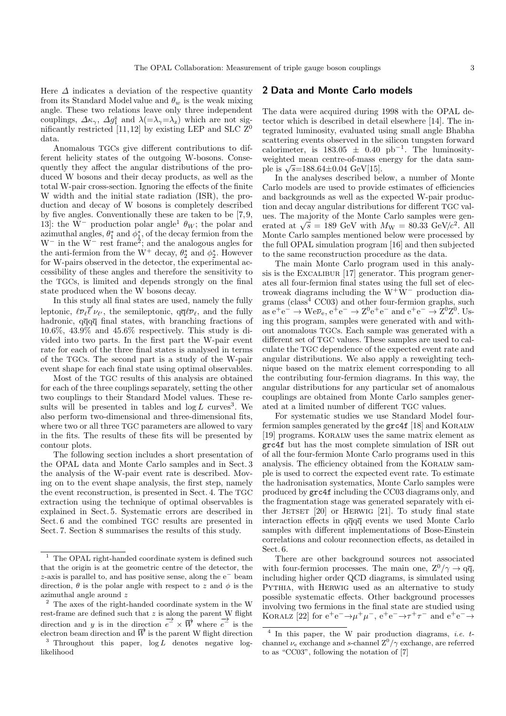Here  $\Delta$  indicates a deviation of the respective quantity from its Standard Model value and  $\theta_w$  is the weak mixing angle. These two relations leave only three independent couplings,  $\Delta \kappa_{\gamma}$ ,  $\Delta g_1^z$  and  $\lambda (= \lambda_{\gamma} = \lambda_z)$  which are not significantly restricted [11,12] by existing LEP and SLC  $Z^0$ data.

Anomalous TGCs give different contributions to different helicity states of the outgoing W-bosons. Consequently they affect the angular distributions of the produced W bosons and their decay products, as well as the total W-pair cross-section. Ignoring the effects of the finite W width and the initial state radiation (ISR), the production and decay of W bosons is completely described by five angles. Conventionally these are taken to be [7, 9, 13]: the W<sup>-</sup> production polar angle<sup>1</sup>  $\theta_W$ ; the polar and azimuthal angles,  $\theta_1^*$  and  $\phi_1^*$ , of the decay fermion from the  $W^-$  in the  $\tilde{W}^-$  rest frame<sup>2</sup>; and the analogous angles for the anti-fermion from the W<sup>+</sup> decay,  $\theta_2^*$  and  $\phi_2^*$ . However for W-pairs observed in the detector, the experimental accessibility of these angles and therefore the sensitivity to the TGCs, is limited and depends strongly on the final state produced when the W bosons decay.

In this study all final states are used, namely the fully leptonic,  $\ell \overline{\nu}_{\ell} \overline{\ell}' \nu_{\ell'}$ , the semileptonic,  $q \overline{q} \ell \overline{\nu}_{\ell}$ , and the fully hadronic,  $q\overline{q}q\overline{q}$  final states, with branching fractions of 10.6%, 43.9% and 45.6% respectively. This study is divided into two parts. In the first part the W-pair event rate for each of the three final states is analysed in terms of the TGCs. The second part is a study of the W-pair event shape for each final state using optimal observables.

Most of the TGC results of this analysis are obtained for each of the three couplings separately, setting the other two couplings to their Standard Model values. These results will be presented in tables and  $log L$  curves<sup>3</sup>. We also perform two-dimensional and three-dimensional fits, where two or all three TGC parameters are allowed to vary in the fits. The results of these fits will be presented by contour plots.

The following section includes a short presentation of the OPAL data and Monte Carlo samples and in Sect. 3 the analysis of the W-pair event rate is described. Moving on to the event shape analysis, the first step, namely the event reconstruction, is presented in Sect. 4. The TGC extraction using the technique of optimal observables is explained in Sect. 5. Systematic errors are described in Sect. 6 and the combined TGC results are presented in Sect. 7. Section 8 summarises the results of this study.

### **2 Data and Monte Carlo models**

The data were acquired during 1998 with the OPAL detector which is described in detail elsewhere [14]. The integrated luminosity, evaluated using small angle Bhabha scattering events observed in the silicon tungsten forward calorimeter, is  $183.05 \pm 0.40$  pb<sup>-1</sup>. The luminosityweighted mean centre-of-mass energy for the data sample is  $\sqrt{s}$ =188.64±0.04 GeV[15].

In the analyses described below, a number of Monte Carlo models are used to provide estimates of efficiencies and backgrounds as well as the expected W-pair production and decay angular distributions for different TGC values. The majority of the Monte Carlo samples were generated at  $\sqrt{s} = 189$  GeV with  $M_W = 80.33$  GeV/ $c^2$ . All Monte Carlo samples mentioned below were processed by the full OPAL simulation program [16] and then subjected to the same reconstruction procedure as the data.

The main Monte Carlo program used in this analysis is the EXCALIBUR [17] generator. This program generates all four-fermion final states using the full set of electroweak diagrams including the W<sup>+</sup>W<sup>−</sup> production diagrams ( $\text{class}^4$  CC03) and other four-fermion graphs, such as  $e^+e^- \to \text{We}\overline{\nu}_e, e^+e^- \to \text{Z}^0e^+e^-$  and  $e^+e^- \to \text{Z}^0\text{Z}^0$ . Using this program, samples were generated with and without anomalous TGCs. Each sample was generated with a different set of TGC values. These samples are used to calculate the TGC dependence of the expected event rate and angular distributions. We also apply a reweighting technique based on the matrix element corresponding to all the contributing four-fermion diagrams. In this way, the angular distributions for any particular set of anomalous couplings are obtained from Monte Carlo samples generated at a limited number of different TGC values.

For systematic studies we use Standard Model fourfermion samples generated by the grc4f [18] and KORALW [19] programs. Koralw uses the same matrix element as grc4f but has the most complete simulation of ISR out of all the four-fermion Monte Carlo programs used in this analysis. The efficiency obtained from the Koralw sample is used to correct the expected event rate. To estimate the hadronisation systematics, Monte Carlo samples were produced by grc4f including the CC03 diagrams only, and the fragmentation stage was generated separately with either JETSET  $[20]$  or HERWIG  $[21]$ . To study final state interaction effects in qqqq events we used Monte Carlo samples with different implementations of Bose-Einstein correlations and colour reconnection effects, as detailed in Sect. 6.

There are other background sources not associated with four-fermion processes. The main one,  $Z^0/\gamma \rightarrow q\overline{q}$ , including higher order QCD diagrams, is simulated using PYTHIA, with HERWIG used as an alternative to study possible systematic effects. Other background processes involving two fermions in the final state are studied using KORALZ [22] for  $e^+e^- \rightarrow \mu^+\mu^-$ ,  $e^+e^- \rightarrow \tau^+\tau^-$  and  $e^+e^- \rightarrow$ 

 $^{\mathrm{1}}\,$  The OPAL right-handed coordinate system is defined such that the origin is at the geometric centre of the detector, the z-axis is parallel to, and has positive sense, along the e<sup>−</sup> beam direction,  $\theta$  is the polar angle with respect to z and  $\phi$  is the azimuthal angle around z

 $2$  The axes of the right-handed coordinate system in the W rest-frame are defined such that  $z$  is along the parent W flight direction and y is in the direction  $\overrightarrow{e} \times \overrightarrow{W}$  where  $\overrightarrow{e}$  is the electron beam direction and  $\vec{W}$  is the parent W flight direction  $\frac{3}{3}$  Throughout this paper, log L denotes negative log-

likelihood

 $4$  In this paper, the W pair production diagrams, *i.e.* tchannel  $\nu_e$  exchange and s-channel  $Z^0/\gamma$  exchange, are referred to as "CC03", following the notation of [7]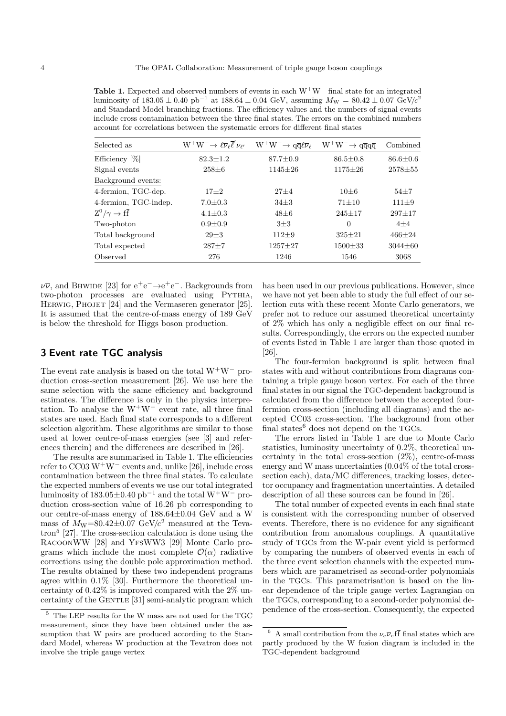**Table 1.** Expected and observed numbers of events in each W<sup>+</sup>W<sup>−</sup> final state for an integrated luminosity of  $183.05 \pm 0.40$  pb<sup>-1</sup> at  $188.64 \pm 0.04$  GeV, assuming  $M_W = 80.42 \pm 0.07$  GeV/c<sup>2</sup> and Standard Model branching fractions. The efficiency values and the numbers of signal events include cross contamination between the three final states. The errors on the combined numbers account for correlations between the systematic errors for different final states

| Selected as               | $W^+W^-\rightarrow \ell \overline{\nu}_{\ell} \overline{\ell}' \nu_{\ell'}$ | $W^+W^-\rightarrow q\overline{q}\ell\overline{\nu}_\ell$ | $W^+W^-\rightarrow q\overline{q}q\overline{q}$ | Combined       |
|---------------------------|-----------------------------------------------------------------------------|----------------------------------------------------------|------------------------------------------------|----------------|
| Efficiency [%]            | $82.3 \pm 1.2$                                                              | $87.7 \pm 0.9$                                           | $86.5 \pm 0.8$                                 | $86.6 \pm 0.6$ |
| Signal events             | $258 + 6$                                                                   | $1145 \pm 26$                                            | $1175 \pm 26$                                  | $2578 + 55$    |
| Background events:        |                                                                             |                                                          |                                                |                |
| 4-fermion, TGC-dep.       | $17\pm2$                                                                    | $27 + 4$                                                 | $10 + 6$                                       | $54 + 7$       |
| 4-fermion, TGC-indep.     | $7.0 \pm 0.3$                                                               | $34 + 3$                                                 | $71 + 10$                                      | $111 \pm 9$    |
| $Z^0/\gamma \to f\bar{f}$ | $4.1 \pm 0.3$                                                               | $48\pm6$                                                 | $245 \pm 17$                                   | $297 + 17$     |
| Two-photon                | $0.9 \pm 0.9$                                                               | $3\pm3$                                                  | $\Omega$                                       | $4 + 4$        |
| Total background          | $29 + 3$                                                                    | $112 + 9$                                                | $325 + 21$                                     | $466 + 24$     |
| Total expected            | $287 + 7$                                                                   | $1257 + 27$                                              | $1500 \pm 33$                                  | $3044 \pm 60$  |
| Observed                  | 276                                                                         | 1246                                                     | 1546                                           | 3068           |

 $\nu\bar{\nu}$ , and BHWIDE [23] for  $e^+e^- \rightarrow e^+e^-$ . Backgrounds from two-photon processes are evaluated using PYTHIA, HERWIG, PHOJET [24] and the Vermaseren generator [25]. It is assumed that the centre-of-mass energy of 189 GeV is below the threshold for Higgs boson production.

## **3 Event rate TGC analysis**

The event rate analysis is based on the total  $W^+W^-$  production cross-section measurement [26]. We use here the same selection with the same efficiency and background estimates. The difference is only in the physics interpretation. To analyse the  $W^+W^-$  event rate, all three final states are used. Each final state corresponds to a different selection algorithm. These algorithms are similar to those used at lower centre-of-mass energies (see [3] and references therein) and the differences are described in [26].

The results are summarised in Table 1. The efficiencies refer to  $CC03 W^+W^-$  events and, unlike [26], include cross contamination between the three final states. To calculate the expected numbers of events we use our total integrated luminosity of  $183.05\pm0.40$  pb<sup>-1</sup> and the total W<sup>+</sup>W<sup>-</sup> production cross-section value of 16.26 pb corresponding to our centre-of-mass energy of 188.64±0.04 GeV and a W mass of  $M_W=80.42\pm0.07$  GeV/ $c^2$  measured at the Teva- $\text{tron}^5$  [27]. The cross-section calculation is done using the RacoonWW [28] and YfsWW3 [29] Monte Carlo programs which include the most complete  $\mathcal{O}(\alpha)$  radiative corrections using the double pole approximation method. The results obtained by these two independent programs agree within 0.1% [30]. Furthermore the theoretical uncertainty of 0.42% is improved compared with the 2% uncertainty of the GENTLE [31] semi-analytic program which has been used in our previous publications. However, since we have not yet been able to study the full effect of our selection cuts with these recent Monte Carlo generators, we prefer not to reduce our assumed theoretical uncertainty of 2% which has only a negligible effect on our final results. Correspondingly, the errors on the expected number of events listed in Table 1 are larger than those quoted in [26].

The four-fermion background is split between final states with and without contributions from diagrams containing a triple gauge boson vertex. For each of the three final states in our signal the TGC-dependent background is calculated from the difference between the accepted fourfermion cross-section (including all diagrams) and the accepted CC03 cross-section. The background from other final states $6$  does not depend on the TGCs.

The errors listed in Table 1 are due to Monte Carlo statistics, luminosity uncertainty of 0.2%, theoretical uncertainty in the total cross-section  $(2\%)$ , centre-of-mass energy and W mass uncertainties (0.04% of the total crosssection each), data/MC differences, tracking losses, detector occupancy and fragmentation uncertainties. A detailed description of all these sources can be found in [26].

The total number of expected events in each final state is consistent with the corresponding number of observed events. Therefore, there is no evidence for any significant contribution from anomalous couplings. A quantitative study of TGCs from the W-pair event yield is performed by comparing the numbers of observed events in each of the three event selection channels with the expected numbers which are parametrised as second-order polynomials in the TGCs. This parametrisation is based on the linear dependence of the triple gauge vertex Lagrangian on the TGCs, corresponding to a second-order polynomial dependence of the cross-section. Consequently, the expected

 $^5\,$  The LEP results for the W mass are not used for the TGC measurement, since they have been obtained under the assumption that W pairs are produced according to the Standard Model, whereas W production at the Tevatron does not involve the triple gauge vertex

<sup>&</sup>lt;sup>6</sup> A small contribution from the  $\nu_e \overline{\nu}_e f \overline{f}$  final states which are partly produced by the W fusion diagram is included in the TGC-dependent background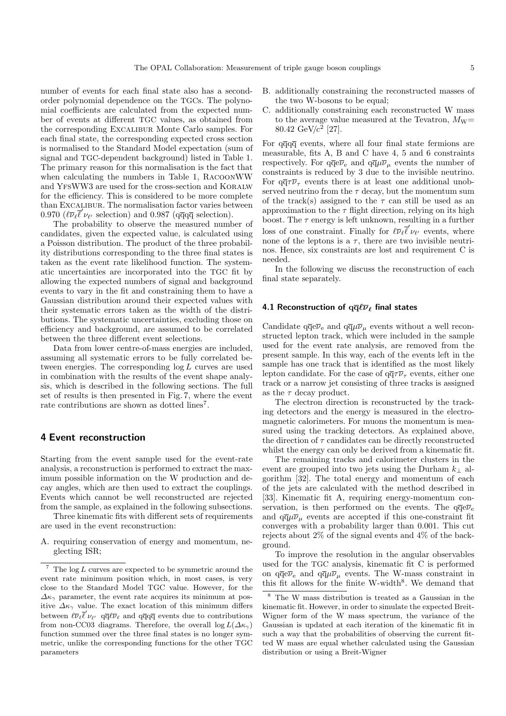number of events for each final state also has a secondorder polynomial dependence on the TGCs. The polynomial coefficients are calculated from the expected number of events at different TGC values, as obtained from the corresponding Excalibur Monte Carlo samples. For each final state, the corresponding expected cross section is normalised to the Standard Model expectation (sum of signal and TGC-dependent background) listed in Table 1. The primary reason for this normalisation is the fact that when calculating the numbers in Table 1, RacoonWW and YFSWW3 are used for the cross-section and KORALW for the efficiency. This is considered to be more complete than Excalibur. The normalisation factor varies between 0.970 ( $\ell \overline{\nu}_{\ell} \overline{\ell}' \nu_{\ell'}$  selection) and 0.987 (qqqq selection).

The probability to observe the measured number of candidates, given the expected value, is calculated using a Poisson distribution. The product of the three probability distributions corresponding to the three final states is taken as the event rate likelihood function. The systematic uncertainties are incorporated into the TGC fit by allowing the expected numbers of signal and background events to vary in the fit and constraining them to have a Gaussian distribution around their expected values with their systematic errors taken as the width of the distributions. The systematic uncertainties, excluding those on efficiency and background, are assumed to be correlated between the three different event selections.

Data from lower centre-of-mass energies are included, assuming all systematic errors to be fully correlated between energies. The corresponding log L curves are used in combination with the results of the event shape analysis, which is described in the following sections. The full set of results is then presented in Fig. 7, where the event rate contributions are shown as dotted lines<sup>7</sup>.

## **4 Event reconstruction**

Starting from the event sample used for the event-rate analysis, a reconstruction is performed to extract the maximum possible information on the W production and decay angles, which are then used to extract the couplings. Events which cannot be well reconstructed are rejected from the sample, as explained in the following subsections.

Three kinematic fits with different sets of requirements are used in the event reconstruction:

A. requiring conservation of energy and momentum, neglecting ISR;

- B. additionally constraining the reconstructed masses of the two W-bosons to be equal;
- C. additionally constraining each reconstructed W mass to the average value measured at the Tevatron,  $M_W=$ 80.42 GeV/ $c^2$  [27].

For  $q\overline{q}q\overline{q}$  events, where all four final state fermions are measurable, fits A, B and C have 4, 5 and 6 constraints respectively. For  $q\overline{q}e\overline{\nu}_e$  and  $q\overline{q}\mu\overline{\nu}_u$  events the number of constraints is reduced by 3 due to the invisible neutrino. For  $q\bar{q}\tau\bar{\nu}_{\tau}$  events there is at least one additional unobserved neutrino from the  $\tau$  decay, but the momentum sum of the track(s) assigned to the  $\tau$  can still be used as an approximation to the  $\tau$  flight direction, relying on its high boost. The  $\tau$  energy is left unknown, resulting in a further loss of one constraint. Finally for  $\ell \overline{\nu}_{\ell} \overline{\ell}' \nu_{\ell'}$  events, where none of the leptons is a  $\tau$ , there are two invisible neutrinos. Hence, six constraints are lost and requirement C is needed.

In the following we discuss the reconstruction of each final state separately.

### **4.1 Reconstruction of**  $q\overline{q}\ell\overline{\nu}_\ell$  **final states**

Candidate  $q\overline{q}e\overline{\nu}_e$  and  $q\overline{q}\mu\overline{\nu}_\mu$  events without a well reconstructed lepton track, which were included in the sample used for the event rate analysis, are removed from the present sample. In this way, each of the events left in the sample has one track that is identified as the most likely lepton candidate. For the case of  $q\overline{q}\tau\overline{\nu}_{\tau}$  events, either one track or a narrow jet consisting of three tracks is assigned as the  $\tau$  decay product.

The electron direction is reconstructed by the tracking detectors and the energy is measured in the electromagnetic calorimeters. For muons the momentum is measured using the tracking detectors. As explained above, the direction of  $\tau$  candidates can be directly reconstructed whilst the energy can only be derived from a kinematic fit.

The remaining tracks and calorimeter clusters in the event are grouped into two jets using the Durham  $k_{\perp}$  algorithm [32]. The total energy and momentum of each of the jets are calculated with the method described in [33]. Kinematic fit A, requiring energy-momentum conservation, is then performed on the events. The  $q\bar{q}e\bar{\nu}_e$ and  $q\bar{q}\mu\bar{\nu}_{\mu}$  events are accepted if this one-constraint fit converges with a probability larger than 0.001. This cut rejects about 2% of the signal events and 4% of the background.

To improve the resolution in the angular observables used for the TGC analysis, kinematic fit C is performed on  $q\bar{q}e\bar{\nu}_e$  and  $q\bar{q}\mu\bar{\nu}_\mu$  events. The W-mass constraint in this fit allows for the finite W-width<sup>8</sup>. We demand that

 $^7\,$  The  $\log L$  curves are expected to be symmetric around the event rate minimum position which, in most cases, is very close to the Standard Model TGC value. However, for the  $\Delta\kappa_{\gamma}$  parameter, the event rate acquires its minimum at positive  $\Delta \kappa_{\gamma}$  value. The exact location of this minimum differs between  $\ell \overline{\nu}_{\ell} \overline{\ell}' \nu_{\ell'}$  q $\overline{q} \ell \overline{\nu}_{\ell}$  and q $\overline{q}$  q $\overline{q}$  events due to contributions from non-CC03 diagrams. Therefore, the overall  $\log L(\Delta \kappa_{\gamma})$ function summed over the three final states is no longer symmetric, unlike the corresponding functions for the other TGC parameters

The W mass distribution is treated as a Gaussian in the kinematic fit. However, in order to simulate the expected Breit-Wigner form of the W mass spectrum, the variance of the Gaussian is updated at each iteration of the kinematic fit in such a way that the probabilities of observing the current fitted W mass are equal whether calculated using the Gaussian distribution or using a Breit-Wigner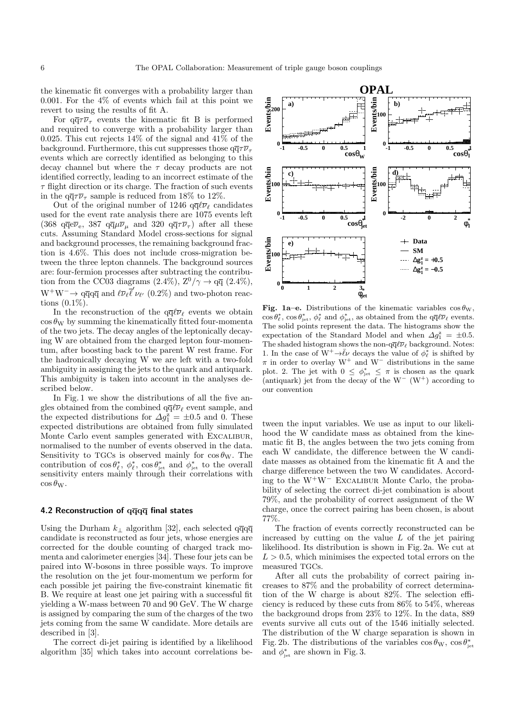the kinematic fit converges with a probability larger than 0.001. For the  $4\%$  of events which fail at this point we revert to using the results of fit A.

For  $q\bar{q}\tau\bar{\nu}_{\tau}$  events the kinematic fit B is performed and required to converge with a probability larger than 0.025. This cut rejects  $14\%$  of the signal and  $41\%$  of the background. Furthermore, this cut suppresses those  $q\bar{q}\tau\bar{\nu}_{\tau}$ events which are correctly identified as belonging to this decay channel but where the  $\tau$  decay products are not identified correctly, leading to an incorrect estimate of the  $\tau$  flight direction or its charge. The fraction of such events in the  $q\bar{q}\tau\bar{\nu}_{\tau}$  sample is reduced from 18% to 12%.

Out of the original number of 1246  $q\bar{q}\ell\bar{\nu}_{\ell}$  candidates used for the event rate analysis there are 1075 events left (368 qq̃e $\overline{\nu}_{e}$ , 387 qq̄ $\mu\overline{\nu}_{\mu}$  and 320 q $\overline{q}\tau\overline{\nu}_{\tau}$ ) after all these cuts. Assuming Standard Model cross-sections for signal and background processes, the remaining background fraction is 4.6%. This does not include cross-migration between the three lepton channels. The background sources are: four-fermion processes after subtracting the contribution from the CC03 diagrams (2.4%),  $Z^0/\gamma \rightarrow q\bar{q}$  (2.4%),  $W^+W^-\rightarrow q\bar{q}q\bar{q}$  and  $\ell\bar{\nu}_{\ell}\bar{\ell}'\nu_{\ell'}$  (0.2%) and two-photon reactions (0.1%).

In the reconstruction of the  $q\bar{q}\ell\bar{\nu}_\ell$  events we obtain  $\cos \theta_{\rm W}$  by summing the kinematically fitted four-momenta of the two jets. The decay angles of the leptonically decaying W are obtained from the charged lepton four-momentum, after boosting back to the parent W rest frame. For the hadronically decaying W we are left with a two-fold ambiguity in assigning the jets to the quark and antiquark. This ambiguity is taken into account in the analyses described below.

In Fig. 1 we show the distributions of all the five angles obtained from the combined  $q\bar{q}/\bar{\nu}_{\ell}$  event sample, and the expected distributions for  $\Delta g_1^2 = \pm 0.5$  and 0. These expected distributions are obtained from fully simulated Monte Carlo event samples generated with Excalibur, normalised to the number of events observed in the data. Sensitivity to TGCs is observed mainly for  $\cos \theta_{\rm W}$ . The contribution of  $\cos \theta_{\ell}^*, \phi_{\ell}^*, \cos \theta_{\rm jet}^*$  and  $\phi_{\rm jet}^*$  to the overall sensitivity enters mainly through their correlations with  $\cos \theta_{\rm W}$ .

#### **4.2 Reconstruction of qqqq final states**

Using the Durham  $k_{\perp}$  algorithm [32], each selected qqqq candidate is reconstructed as four jets, whose energies are corrected for the double counting of charged track momenta and calorimeter energies [34]. These four jets can be paired into W-bosons in three possible ways. To improve the resolution on the jet four-momentum we perform for each possible jet pairing the five-constraint kinematic fit B. We require at least one jet pairing with a successful fit yielding a W-mass between 70 and 90 GeV. The W charge is assigned by comparing the sum of the charges of the two jets coming from the same W candidate. More details are described in [3].

The correct di-jet pairing is identified by a likelihood algorithm [35] which takes into account correlations be-



**Fig. 1a–e.** Distributions of the kinematic variables  $\cos \theta_{\rm W}$ ,  $\cos \theta_{\ell}^*$ ,  $\cos \theta_{\rm jet}^*$ ,  $\phi_{\ell}^*$  and  $\phi_{\rm jet}^*$ , as obtained from the  $q\bar{q}\ell\bar{\nu}_{\ell}$  events. The solid points represent the data. The histograms show the expectation of the Standard Model and when  $\Delta g_1^z = \pm 0.5$ . The shaded histogram shows the non- $q\overline{q}\ell\overline{\nu}_{\ell}$  background. Notes: 1. In the case of  $W^+ \rightarrow \bar{\ell} \nu$  decays the value of  $\phi_{\ell}^*$  is shifted by  $\pi$  in order to overlay W<sup>+</sup> and W<sup>−</sup> distributions in the same plot. 2. The jet with  $0 \leq \phi_{\text{jet}}^* \leq \pi$  is chosen as the quark (antiquark) jet from the decay of the  $W^-$  ( $W^+$ ) according to our convention

tween the input variables. We use as input to our likelihood the W candidate mass as obtained from the kinematic fit B, the angles between the two jets coming from each W candidate, the difference between the W candidate masses as obtained from the kinematic fit A and the charge difference between the two W candidates. According to the W<sup>+</sup>W<sup>−</sup> Excalibur Monte Carlo, the probability of selecting the correct di-jet combination is about 79%, and the probability of correct assignment of the W charge, once the correct pairing has been chosen, is about 77%.

The fraction of events correctly reconstructed can be increased by cutting on the value  $L$  of the jet pairing likelihood. Its distribution is shown in Fig. 2a. We cut at  $L > 0.5$ , which minimises the expected total errors on the measured TGCs.

After all cuts the probability of correct pairing increases to 87% and the probability of correct determination of the W charge is about 82%. The selection efficiency is reduced by these cuts from 86% to 54%, whereas the background drops from 23% to 12%. In the data, 889 events survive all cuts out of the 1546 initially selected. The distribution of the W charge separation is shown in Fig. 2b. The distributions of the variables  $\cos \theta_{\rm W}$ ,  $\cos \theta_{\rm jet}^*$ and  $\phi_{\text{jet}}^*$  are shown in Fig. 3.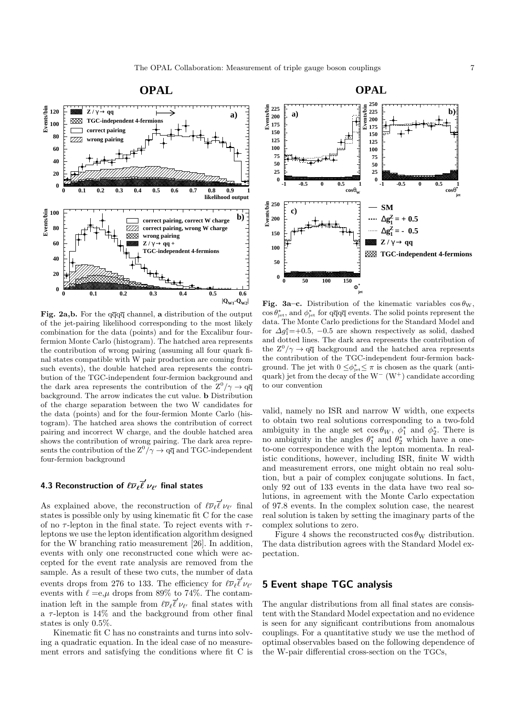

**Fig. 2a,b.** For the qqqq channel, **a** distribution of the output of the jet-pairing likelihood corresponding to the most likely combination for the data (points) and for the Excalibur fourfermion Monte Carlo (histogram). The hatched area represents the contribution of wrong pairing (assuming all four quark final states compatible with W pair production are coming from such events), the double hatched area represents the contribution of the TGC-independent four-fermion background and the dark area represents the contribution of the  $Z^0/\gamma \rightarrow q\overline{q}$ background. The arrow indicates the cut value. **b** Distribution of the charge separation between the two W candidates for the data (points) and for the four-fermion Monte Carlo (histogram). The hatched area shows the contribution of correct pairing and incorrect W charge, and the double hatched area shows the contribution of wrong pairing. The dark area represents the contribution of the  $Z^0/\gamma \to q\overline{q}$  and TGC-independent four-fermion background

# **4.3 Reconstruction of**  $\ell\overline{\nu}_\ell\overline{\ell}'\nu_{\ell'}$  **final states**

As explained above, the reconstruction of  $\ell \overline{\nu}_{\ell} \overline{\ell}' \nu_{\ell'}$  final states is possible only by using kinematic fit C for the case of no  $\tau$ -lepton in the final state. To reject events with  $\tau$ leptons we use the lepton identification algorithm designed for the W branching ratio measurement [26]. In addition, events with only one reconstructed cone which were accepted for the event rate analysis are removed from the sample. As a result of these two cuts, the number of data events drops from 276 to 133. The efficiency for  $\ell \overline{\nu}_{\ell} \overline{\ell}' \nu_{\ell'}$ events with  $\ell = e, \mu$  drops from 89% to 74%. The contamination left in the sample from  $\ell \overline{\nu}_{\ell} \overline{\ell}' \nu_{\ell'}$  final states with a  $\tau$ -lepton is 14% and the background from other final states is only 0.5%.

Kinematic fit C has no constraints and turns into solving a quadratic equation. In the ideal case of no measurement errors and satisfying the conditions where fit C is



**Fig. 3a–c.** Distribution of the kinematic variables  $\cos \theta_{\rm W}$ ,  $\cos \theta_{\rm jet}^*$ , and  $\phi_{\rm jet}^*$  for  $q\overline{q}q\overline{q}$  events. The solid points represent the data. The Monte Carlo predictions for the Standard Model and for  $\Delta g_1^z = +0.5$ ,  $-0.5$  are shown respectively as solid, dashed and dotted lines. The dark area represents the contribution of the  $Z^0/\gamma \rightarrow q\overline{q}$  background and the hatched area represents the contribution of the TGC-independent four-fermion background. The jet with  $0 \leq \phi_{\text{jet}} \leq \pi$  is chosen as the quark (antiquark) jet from the decay of the W<sup>-</sup> (W<sup>+</sup>) candidate according to our convention

valid, namely no ISR and narrow W width, one expects to obtain two real solutions corresponding to a two-fold ambiguity in the angle set  $\cos \theta_W$ ,  $\phi_1^*$  and  $\phi_2^*$ . There is no ambiguity in the angles  $\theta_1^*$  and  $\theta_2^*$  which have a oneto-one correspondence with the lepton momenta. In realistic conditions, however, including ISR, finite W width and measurement errors, one might obtain no real solution, but a pair of complex conjugate solutions. In fact, only 92 out of 133 events in the data have two real solutions, in agreement with the Monte Carlo expectation of 97.8 events. In the complex solution case, the nearest real solution is taken by setting the imaginary parts of the complex solutions to zero.

Figure 4 shows the reconstructed  $\cos \theta_{\rm W}$  distribution. The data distribution agrees with the Standard Model expectation.

# **5 Event shape TGC analysis**

The angular distributions from all final states are consistent with the Standard Model expectation and no evidence is seen for any significant contributions from anomalous couplings. For a quantitative study we use the method of optimal observables based on the following dependence of the W-pair differential cross-section on the TGCs,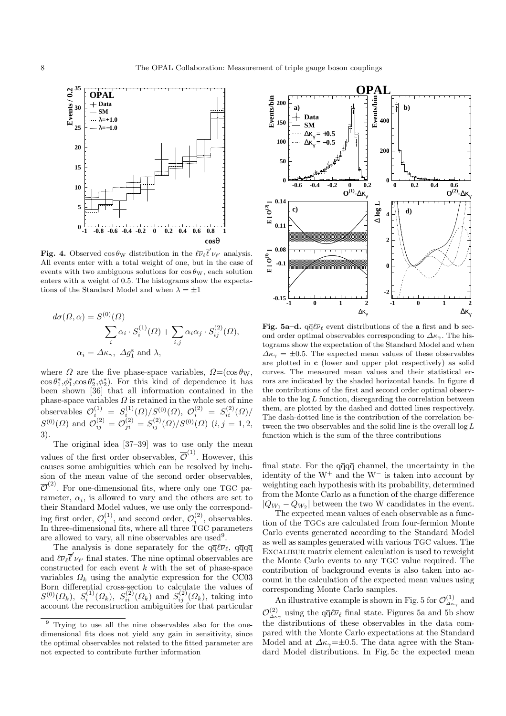

**Fig. 4.** Observed  $\cos \theta_{\rm W}$  distribution in the  $\ell \overline{\nu}_{\ell} \overline{\ell}' \nu_{\ell'}$  analysis. All events enter with a total weight of one, but in the case of events with two ambiguous solutions for  $\cos \theta_{\rm W}$ , each solution enters with a weight of 0.5. The histograms show the expectations of the Standard Model and when  $\lambda = \pm 1$ 

$$
d\sigma(\Omega,\alpha) = S^{(0)}(\Omega)
$$
  
+ 
$$
\sum_{i} \alpha_{i} \cdot S_{i}^{(1)}(\Omega) + \sum_{i,j} \alpha_{i} \alpha_{j} \cdot S_{ij}^{(2)}(\Omega),
$$
  

$$
\alpha_{i} = \Delta \kappa_{\gamma}, \ \Delta g_{1}^{z} \text{ and } \lambda,
$$

where  $\Omega$  are the five phase-space variables,  $\Omega = (\cos \theta_{\rm W},$  $\cos \theta_1^*, \phi_1^*, \cos \theta_2^*, \phi_2^*$ . For this kind of dependence it has been shown [36] that all information contained in the phase-space variables  $\Omega$  is retained in the whole set of nine observables  $\mathcal{O}_{i_{(1)}}^{(1)} = S_{i_{(1)}}^{(1)}(\Omega)/S_{(1)}^{(0)}(\Omega), \mathcal{O}_{i}^{(2)} = S_{ii}^{(2)}(\Omega)/S_{(1)}^{(1)}$  $S^{(0)}(\Omega)$  and  $\mathcal{O}_{ij}^{(2)} = \mathcal{O}_{ji}^{(2)} = S_{ij}^{(2)}(\Omega)/S^{(0)}(\Omega)$   $(i, j = 1, 2, ...)$ 3).

The original idea [37–39] was to use only the mean values of the first order observables,  $\overline{\mathcal{O}}^{(1)}$ . However, this causes some ambiguities which can be resolved by inclusion of the mean value of the second order observables,  $\overline{\mathcal{O}}^{(2)}$ . For one-dimensional fits, where only one TGC parameter,  $\alpha_i$ , is allowed to vary and the others are set to their Standard Model values, we use only the corresponding first order,  $\mathcal{O}_i^{(1)}$ , and second order,  $\mathcal{O}_i^{(2)}$ , observables. In three-dimensional fits, where all three TGC parameters are allowed to vary, all nine observables are used<sup>9</sup>.

The analysis is done separately for the  $q\bar{q}\ell\bar{\nu}_{\ell}$ ,  $q\bar{q}q\bar{q}$ and  $\ell \overline{\nu}_{\ell} \overline{\ell}' \nu_{\ell'}$  final states. The nine optimal observables are constructed for each event  $k$  with the set of phase-space variables  $\Omega_k$  using the analytic expression for the CC03 Born differential cross-section to calculate the values of  $S^{(0)}(\Omega_k)$ ,  $S_i^{(1)}(\Omega_k)$ ,  $S_{ii}^{(2)}(\Omega_k)$  and  $S_{ij}^{(2)}(\Omega_k)$ , taking into account the reconstruction ambiguities for that particular



**Fig. 5a–d.**  $q\overline{q}\ell\overline{\nu}_{\ell}$  event distributions of the **a** first and **b** second order optimal observables corresponding to  $\Delta \kappa_{\gamma}$ . The histograms show the expectation of the Standard Model and when  $\Delta \kappa_{\gamma} = \pm 0.5$ . The expected mean values of these observables are plotted in **c** (lower and upper plot respectively) as solid curves. The measured mean values and their statistical errors are indicated bythe shaded horizontal bands. In figure **d** the contributions of the first and second order optimal observable to the  $log L$  function, disregarding the correlation between them, are plotted by the dashed and dotted lines respectively. The dash-dotted line is the contribution of the correlation between the two observables and the solid line is the overall  $\log L$ function which is the sum of the three contributions

final state. For the  $q\overline{q}q\overline{q}$  channel, the uncertainty in the identity of the  $W^+$  and the  $W^-$  is taken into account by weighting each hypothesis with its probability, determined from the Monte Carlo as a function of the charge difference  $|Q_{W_1} - Q_{W_2}|$  between the two W candidates in the event.

The expected mean values of each observable as a function of the TGCs are calculated from four-fermion Monte Carlo events generated according to the Standard Model as well as samples generated with various TGC values. The EXCALIBUR matrix element calculation is used to reweight the Monte Carlo events to any TGC value required. The contribution of background events is also taken into account in the calculation of the expected mean values using corresponding Monte Carlo samples.

An illustrative example is shown in Fig. 5 for  $\mathcal{O}^{(1)}_{\Delta\kappa_{\gamma}}$  and  $\mathcal{O}^{(2)}_{\Delta \kappa_\gamma}$  using the  $q\bar{q}\ell\bar{\nu}_\ell$  final state. Figures 5a and 5b show the distributions of these observables in the data compared with the Monte Carlo expectations at the Standard Model and at  $\Delta \kappa_{\gamma} = \pm 0.5$ . The data agree with the Standard Model distributions. In Fig. 5c the expected mean

<sup>9</sup> Trying to use all the nine observables also for the onedimensional fits does not yield any gain in sensitivity, since the optimal observables not related to the fitted parameter are not expected to contribute further information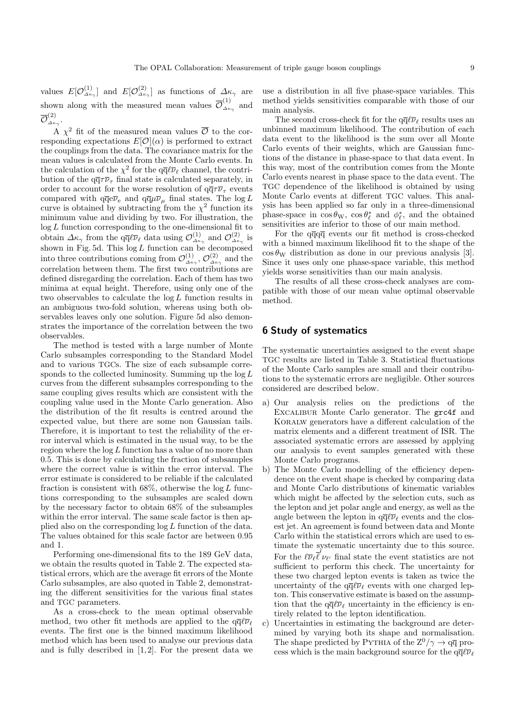values  $E[O_{\Delta \kappa_{\gamma}}^{(1)}]$  and  $E[O_{\Delta \kappa_{\gamma}}^{(2)}]$  as functions of  $\Delta \kappa_{\gamma}$  are shown along with the measured mean values  $\overline{\mathcal{O}}_{\scriptscriptstyle{\Delta\kappa_{\gamma}}}^{(1)}$  and  ${\overline{\mathcal O}} _{_{\Delta\kappa_\gamma}}^{(2)}.$ 

A  $\chi^2$  fit of the measured mean values  $\overline{\mathcal{O}}$  to the corresponding expectations  $E[O](\alpha)$  is performed to extract the couplings from the data. The covariance matrix for the mean values is calculated from the Monte Carlo events. In the calculation of the  $\chi^2$  for the  $q\overline{q}\ell\overline{\nu}_\ell$  channel, the contribution of the  $q\overline{q}\tau\overline{\nu}_{\tau}$  final state is calculated separately, in order to account for the worse resolution of  $q\overline{q}\tau\overline{\nu}_{\tau}$  events compared with  $\mathrm{q}\mathrm{\overline{q}}\mathrm{e}\overline{\nu}_\mathrm{e}$  and  $\mathrm{q}\mathrm{\overline{q}}\mu\overline{\nu}_\mu$  final states. The  $\log L$ curve is obtained by subtracting from the  $\chi^2$  function its minimum value and dividing by two. For illustration, the  $log L$  function corresponding to the one-dimensional fit to obtain  $\Delta \kappa_\gamma$  from the q $\bar{q} \ell \bar{\nu}_{\ell}$  data using  $\mathcal{O}_{\Delta \kappa_\gamma}^{(1)}$  and  $\mathcal{O}_{\Delta \kappa_\gamma}^{(2)}$  is shown in Fig. 5d. This  $log L$  function can be decomposed into three contributions coming from  $\mathcal{O}^{(1)}_{\Delta\kappa\gamma}$ ,  $\mathcal{O}^{(2)}_{\Delta\kappa\gamma}$  and the correlation between them. The first two contributions are defined disregarding the correlation. Each of them has two minima at equal height. Therefore, using only one of the two observables to calculate the  $log L$  function results in an ambiguous two-fold solution, whereas using both observables leaves only one solution. Figure 5d also demonstrates the importance of the correlation between the two observables.

The method is tested with a large number of Monte Carlo subsamples corresponding to the Standard Model and to various TGCs. The size of each subsample corresponds to the collected luminosity. Summing up the  $\log L$ curves from the different subsamples corresponding to the same coupling gives results which are consistent with the coupling value used in the Monte Carlo generation. Also the distribution of the fit results is centred around the expected value, but there are some non Gaussian tails. Therefore, it is important to test the reliability of the error interval which is estimated in the usual way, to be the region where the  $log L$  function has a value of no more than 0.5. This is done by calculating the fraction of subsamples where the correct value is within the error interval. The error estimate is considered to be reliable if the calculated fraction is consistent with  $68\%$ , otherwise the  $\log L$  functions corresponding to the subsamples are scaled down by the necessary factor to obtain 68% of the subsamples within the error interval. The same scale factor is then applied also on the corresponding  $\log L$  function of the data. The values obtained for this scale factor are between 0.95 and 1.

Performing one-dimensional fits to the 189 GeV data, we obtain the results quoted in Table 2. The expected statistical errors, which are the average fit errors of the Monte Carlo subsamples, are also quoted in Table 2, demonstrating the different sensitivities for the various final states and TGC parameters.

As a cross-check to the mean optimal observable method, two other fit methods are applied to the  $q\bar{q}\ell\bar{\nu}_\ell$ events. The first one is the binned maximum likelihood method which has been used to analyse our previous data and is fully described in  $[1, 2]$ . For the present data we use a distribution in all five phase-space variables. This method yields sensitivities comparable with those of our main analysis.

The second cross-check fit for the  $q\bar{q}\ell\bar{\nu}_{\ell}$  results uses an unbinned maximum likelihood. The contribution of each data event to the likelihood is the sum over all Monte Carlo events of their weights, which are Gaussian functions of the distance in phase-space to that data event. In this way, most of the contribution comes from the Monte Carlo events nearest in phase space to the data event. The TGC dependence of the likelihood is obtained by using Monte Carlo events at different TGC values. This analysis has been applied so far only in a three-dimensional phase-space in  $\cos \theta_{\rm W}$ ,  $\cos \theta_{\ell}^*$  and  $\phi_{\ell}^*$ , and the obtained sensitivities are inferior to those of our main method.

For the  $q\overline{q}q\overline{q}$  events our fit method is cross-checked with a binned maximum likelihood fit to the shape of the  $\cos \theta_{\rm W}$  distribution as done in our previous analysis [3]. Since it uses only one phase-space variable, this method yields worse sensitivities than our main analysis.

The results of all these cross-check analyses are compatible with those of our mean value optimal observable method.

# **6 Study of systematics**

The systematic uncertainties assigned to the event shape TGC results are listed in Table 3. Statistical fluctuations of the Monte Carlo samples are small and their contributions to the systematic errors are negligible. Other sources considered are described below.

- a) Our analysis relies on the predictions of the Excalibur Monte Carlo generator. The grc4f and Koralw generators have a different calculation of the matrix elements and a different treatment of ISR. The associated systematic errors are assessed by applying our analysis to event samples generated with these Monte Carlo programs.
- b) The Monte Carlo modelling of the efficiency dependence on the event shape is checked by comparing data and Monte Carlo distributions of kinematic variables which might be affected by the selection cuts, such as the lepton and jet polar angle and energy, as well as the angle between the lepton in  $q\bar{q}\ell\bar{\nu}_\ell$  events and the closest jet. An agreement is found between data and Monte Carlo within the statistical errors which are used to estimate the systematic uncertainty due to this source. For the  $\ell \overline{\nu}_{\ell} \overline{\ell}' \nu_{\ell'}$  final state the event statistics are not sufficient to perform this check. The uncertainty for these two charged lepton events is taken as twice the uncertainty of the  $q\bar{q}\ell\bar{\nu}_{\ell}$  events with one charged lepton. This conservative estimate is based on the assumption that the  $q\overline{q}\ell\overline{\nu}_{\ell}$  uncertainty in the efficiency is entirely related to the lepton identification.
- c) Uncertainties in estimating the background are determined by varying both its shape and normalisation. The shape predicted by PYTHIA of the  $Z^0/\gamma \rightarrow q\overline{q}$  process which is the main background source for the  $q\bar{q}\ell\bar{\nu}_{\ell}$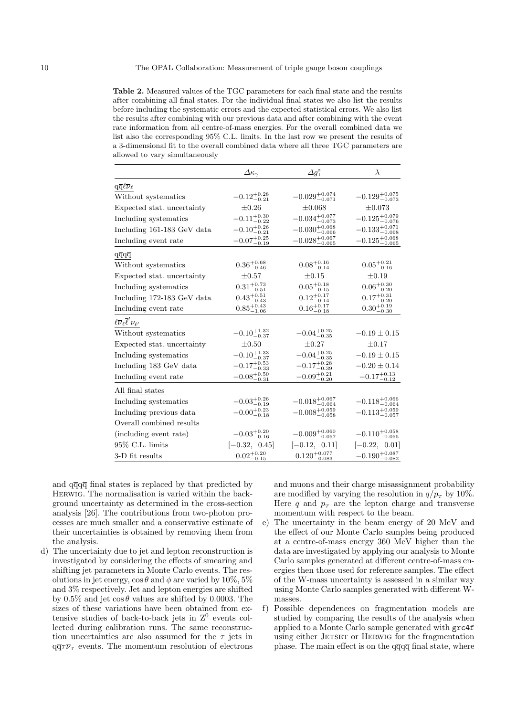**Table 2.** Measured values of the TGC parameters for each final state and the results after combining all final states. For the individual final states we also list the results before including the systematic errors and the expected statistical errors. We also list the results after combining with our previous data and after combining with the event rate information from all centre-of-mass energies. For the overall combined data we list also the corresponding 95% C.L. limits. In the last row we present the results of a 3-dimensional fit to the overall combined data where all three TGC parameters are allowed to varysimultaneously

|                                                        | $\varDelta\kappa_{\gamma}$ | $\Delta q_1^{\rm z}$       | $\lambda$                        |
|--------------------------------------------------------|----------------------------|----------------------------|----------------------------------|
| $q\overline{q}\ell\overline{\nu}_\ell$                 |                            |                            |                                  |
| Without systematics                                    | $-0.12^{+0.28}_{-0.21}$    | $-0.029^{+0.074}_{-0.071}$ | $-0.129^{+0.075}_{-0.073}$       |
| Expected stat. uncertainty                             | $\pm 0.26$                 | $\pm 0.068$                | $\pm 0.073$                      |
| Including systematics                                  | $-0.11^{+0.30}_{-0.22}$    | $-0.034_{-0.073}^{+0.077}$ | $-0.125\substack{+0.079\-0.076}$ |
| Including 161-183 GeV data                             | $-0.10^{+0.26}_{-0.21}$    | $-0.030^{+0.068}_{-0.066}$ | $-0.133^{+0.071}_{-0.068}$       |
| Including event rate                                   | $-0.07^{+0.25}_{-0.19}$    | $-0.028^{+0.067}_{-0.065}$ | $-0.125^{+0.068}_{-0.065}$       |
| $q\overline{q}q\overline{q}$                           |                            |                            |                                  |
| Without systematics                                    | $0.36_{-0.46}^{+0.68}$     | $0.08^{+0.16}_{-0.14}$     | $0.05_{-0.16}^{+0.21}$           |
| Expected stat. uncertainty                             | $\pm 0.57$                 | $\pm 0.15$                 | $\pm 0.19$                       |
| Including systematics                                  | $0.31_{-0.51}^{+0.73}$     | $0.05_{-0.15}^{+0.18}$     | $0.06_{-0.20}^{+0.30}$           |
| Including 172-183 GeV data                             | $0.43_{-0.43}^{+0.51}$     | $0.12^{+0.17}_{-0.14}$     | $0.17^{+0.31}_{-0.20}$           |
| Including event rate                                   | $0.85^{+0.43}_{-1.06}$     | $0.16_{-0.18}^{+0.17}$     | $0.30_{-0.30}^{+0.19}$           |
| $\ell\overline{\nu}_{\ell}\overline{\ell}'\nu_{\ell'}$ |                            |                            |                                  |
| Without systematics                                    | $-0.10^{+1.32}_{-0.37}$    | $-0.04^{+0.25}_{-0.35}$    | $-0.19 \pm 0.15$                 |
| Expected stat. uncertainty                             | $\pm 0.50$                 | $\pm 0.27$                 | $\pm 0.17$                       |
| Including systematics                                  | $-0.10^{+1.33}_{-0.37}$    | $-0.04^{+0.25}_{-0.35}$    | $-0.19 \pm 0.15$                 |
| Including 183 GeV data                                 | $-0.17^{+0.53}_{-0.33}$    | $-0.17^{+0.28}_{-0.39}$    | $-0.20 \pm 0.14$                 |
| Including event rate                                   | $-0.08^{+0.50}_{-0.31}$    | $-0.09^{+0.21}_{-0.20}$    | $-0.17^{+0.13}_{-0.12}$          |
| All final states                                       |                            |                            |                                  |
| Including systematics                                  | $-0.03^{+0.26}_{-0.19}$    | $-0.018^{+0.067}_{-0.064}$ | $-0.118^{+0.066}_{-0.064}$       |
| Including previous data                                | $-0.00_{-0.18}^{+0.23}$    | $-0.008_{-0.058}^{+0.059}$ | $-0.113^{+0.059}_{-0.057}$       |
| Overall combined results                               |                            |                            |                                  |
| (including event rate)                                 | $-0.03^{+0.20}_{-0.16}$    | $-0.009^{+0.060}_{-0.057}$ | $-0.110^{+0.058}_{-0.055}$       |
| 95% C.L. limits                                        | $[-0.32, 0.45]$            | $[-0.12, 0.11]$            | $[-0.22, 0.01]$                  |
| $3-D$ fit results                                      | $0.02^{+0.20}_{-0.15}$     | $0.120^{+0.077}_{-0.083}$  | $-0.190^{+0.087}_{-0.082}$       |

and  $q\bar{q}q\bar{q}$  final states is replaced by that predicted by Herwig. The normalisation is varied within the background uncertainty as determined in the cross-section analysis [26]. The contributions from two-photon processes are much smaller and a conservative estimate of their uncertainties is obtained by removing them from the analysis.

d) The uncertainty due to jet and lepton reconstruction is investigated by considering the effects of smearing and shifting jet parameters in Monte Carlo events. The resolutions in jet energy,  $\cos \theta$  and  $\phi$  are varied by 10%, 5% and 3% respectively. Jet and lepton energies are shifted by 0.5% and jet  $\cos \theta$  values are shifted by 0.0003. The sizes of these variations have been obtained from extensive studies of back-to-back jets in  $Z^0$  events collected during calibration runs. The same reconstruction uncertainties are also assumed for the  $\tau$  jets in  $q\bar{q}\tau\bar{\nu}_{\tau}$  events. The momentum resolution of electrons and muons and their charge misassignment probability are modified by varying the resolution in  $q/p<sub>T</sub>$  by 10%. Here q and  $p_T$  are the lepton charge and transverse momentum with respect to the beam.

- e) The uncertainty in the beam energy of 20 MeV and the effect of our Monte Carlo samples being produced at a centre-of-mass energy 360 MeV higher than the data are investigated by applying our analysis to Monte Carlo samples generated at different centre-of-mass energies then those used for reference samples. The effect of the W-mass uncertainty is assessed in a similar way using Monte Carlo samples generated with different Wmasses.
- f) Possible dependences on fragmentation models are studied by comparing the results of the analysis when applied to a Monte Carlo sample generated with grc4f using either JETSET or HERWIG for the fragmentation phase. The main effect is on the  $q\overline{q}q\overline{q}$  final state, where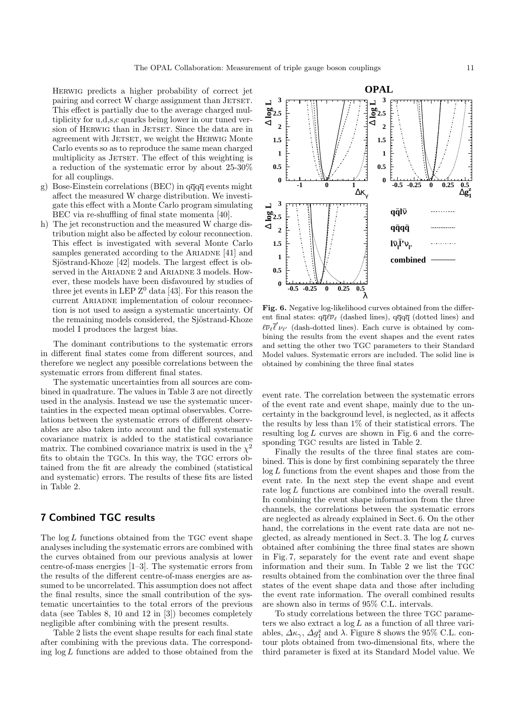Herwig predicts a higher probability of correct jet pairing and correct W charge assignment than JETSET. This effect is partially due to the average charged multiplicity for u,d,s,c quarks being lower in our tuned version of HERWIG than in JETSET. Since the data are in agreement with JETSET, we weight the HERWIG Monte Carlo events so as to reproduce the same mean charged multiplicity as JETSET. The effect of this weighting is a reduction of the systematic error by about 25-30% for all couplings.

- g) Bose-Einstein correlations (BEC) in  $q\bar{q}q\bar{q}$  events might affect the measured W charge distribution. We investigate this effect with a Monte Carlo program simulating BEC via re-shuffling of final state momenta [40].
- h) The jet reconstruction and the measured W charge distribution might also be affected by colour reconnection. This effect is investigated with several Monte Carlo samples generated according to the ARIADNE [41] and Sjöstrand-Khoze [42] models. The largest effect is observed in the ARIADNE 2 and ARIADNE 3 models. However, these models have been disfavoured by studies of three jet events in LEP  $Z^0$  data [43]. For this reason the current ARIADNE implementation of colour reconnection is not used to assign a systematic uncertainty. Of the remaining models considered, the Sjöstrand-Khoze model I produces the largest bias.

The dominant contributions to the systematic errors in different final states come from different sources, and therefore we neglect any possible correlations between the systematic errors from different final states.

The systematic uncertainties from all sources are combined in quadrature. The values in Table 3 are not directly used in the analysis. Instead we use the systematic uncertainties in the expected mean optimal observables. Correlations between the systematic errors of different observables are also taken into account and the full systematic covariance matrix is added to the statistical covariance matrix. The combined covariance matrix is used in the  $\chi^2$ fits to obtain the TGCs. In this way, the TGC errors obtained from the fit are already the combined (statistical and systematic) errors. The results of these fits are listed in Table 2.

# **7 Combined TGC results**

The  $\log L$  functions obtained from the TGC event shape analyses including the systematic errors are combined with the curves obtained from our previous analysis at lower centre-of-mass energies [1–3]. The systematic errors from the results of the different centre-of-mass energies are assumed to be uncorrelated. This assumption does not affect the final results, since the small contribution of the systematic uncertainties to the total errors of the previous data (see Tables 8, 10 and 12 in [3]) becomes completely negligible after combining with the present results.

Table 2 lists the event shape results for each final state after combining with the previous data. The corresponding  $\log L$  functions are added to those obtained from the



**Fig. 6.** Negative log-likelihood curves obtained from the different final states:  $q\overline{q}\ell\overline{\nu}_{\ell}$  (dashed lines),  $q\overline{q}q\overline{q}$  (dotted lines) and  $\ell\overline{\nu}_{\ell}$  (dash-dotted lines). Each curve is obtained by combining the results from the event shapes and the event rates and setting the other two TGC parameters to their Standard Model values. Systematic errors are included. The solid line is obtained bycombining the three final states

event rate. The correlation between the systematic errors of the event rate and event shape, mainly due to the uncertainty in the background level, is neglected, as it affects the results by less than 1% of their statistical errors. The resulting  $log L$  curves are shown in Fig. 6 and the corresponding TGC results are listed in Table 2.

Finally the results of the three final states are combined. This is done by first combining separately the three  $log L$  functions from the event shapes and those from the event rate. In the next step the event shape and event rate  $\log L$  functions are combined into the overall result. In combining the event shape information from the three channels, the correlations between the systematic errors are neglected as already explained in Sect. 6. On the other hand, the correlations in the event rate data are not neglected, as already mentioned in Sect. 3. The log L curves obtained after combining the three final states are shown in Fig. 7, separately for the event rate and event shape information and their sum. In Table 2 we list the TGC results obtained from the combination over the three final states of the event shape data and those after including the event rate information. The overall combined results are shown also in terms of 95% C.L. intervals.

To study correlations between the three TGC parameters we also extract a  $\log L$  as a function of all three variables,  $\Delta \kappa_{\gamma}$ ,  $\Delta g_1^z$  and  $\lambda$ . Figure 8 shows the 95% C.L. contour plots obtained from two-dimensional fits, where the third parameter is fixed at its Standard Model value. We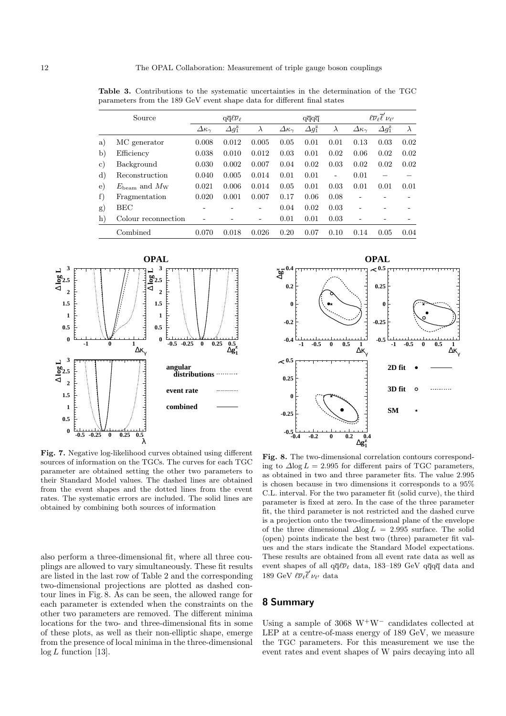|                | Source                               | $q\overline{q}\ell\overline{\nu}_{\ell}$ |                      | $q\overline{q}q\overline{q}$ |                            |                      | $\ell\overline{\nu}_{\ell}\overline{\ell}'\nu_{\ell'}$ |                         |                              |           |
|----------------|--------------------------------------|------------------------------------------|----------------------|------------------------------|----------------------------|----------------------|--------------------------------------------------------|-------------------------|------------------------------|-----------|
|                |                                      | $\Delta\kappa_{\gamma}$                  | $\Delta g_1^{\rm z}$ | $\lambda$                    | $\varDelta\kappa_{\gamma}$ | $\Delta g_1^{\rm z}$ | $\lambda$                                              | $\Delta\kappa_{\gamma}$ | $\varDelta g_1^{\mathrm{z}}$ | $\lambda$ |
| a)             | MC generator                         | 0.008                                    | 0.012                | 0.005                        | 0.05                       | 0.01                 | 0.01                                                   | 0.13                    | 0.03                         | 0.02      |
| $\mathbf{b}$   | Efficiency                           | 0.038                                    | 0.010                | 0.012                        | 0.03                       | 0.01                 | 0.02                                                   | 0.06                    | 0.02                         | 0.02      |
| $\rm _{c}$ )   | Background                           | 0.030                                    | 0.002                | 0.007                        | 0.04                       | 0.02                 | 0.03                                                   | 0.02                    | 0.02                         | 0.02      |
| $\mathrm{d}$ ) | Reconstruction                       | 0.040                                    | 0.005                | 0.014                        | 0.01                       | 0.01                 | Ξ.                                                     | 0.01                    |                              |           |
| $\epsilon$ )   | $E_{\text{beam}}$ and $M_{\text{W}}$ | 0.021                                    | 0.006                | 0.014                        | 0.05                       | 0.01                 | 0.03                                                   | 0.01                    | 0.01                         | 0.01      |
| f)             | Fragmentation                        | 0.020                                    | 0.001                | 0.007                        | 0.17                       | 0.06                 | 0.08                                                   |                         |                              |           |
| g)             | BEC                                  |                                          |                      | -                            | 0.04                       | 0.02                 | 0.03                                                   |                         |                              |           |
| $\mathbf{h}$   | Colour reconnection                  |                                          |                      | -                            | 0.01                       | 0.01                 | 0.03                                                   |                         |                              |           |
|                | Combined                             | 0.070                                    | 0.018                | 0.026                        | 0.20                       | 0.07                 | 0.10                                                   | 0.14                    | 0.05                         | 0.04      |

**Table 3.** Contributions to the systematic uncertainties in the determination of the TGC parameters from the 189 GeV event shape data for different final states



**Fig. 7.** Negative log-likelihood curves obtained using different sources of information on the TGCs. The curves for each TGC parameter are obtained setting the other two parameters to their Standard Model values. The dashed lines are obtained from the event shapes and the dotted lines from the event rates. The systematic errors are included. The solid lines are obtained bycombining both sources of information

also perform a three-dimensional fit, where all three couplings are allowed to vary simultaneously. These fit results are listed in the last row of Table 2 and the corresponding two-dimensional projections are plotted as dashed contour lines in Fig. 8. As can be seen, the allowed range for each parameter is extended when the constraints on the other two parameters are removed. The different minima locations for the two- and three-dimensional fits in some of these plots, as well as their non-elliptic shape, emerge from the presence of local minima in the three-dimensional  $log L$  function [13].



**Fig. 8.** The two-dimensional correlation contours corresponding to  $\Delta$ log  $L = 2.995$  for different pairs of TGC parameters, as obtained in two and three parameter fits. The value 2.995 is chosen because in two dimensions it corresponds to a 95% C.L. interval. For the two parameter fit (solid curve), the third parameter is fixed at zero. In the case of the three parameter fit, the third parameter is not restricted and the dashed curve is a projection onto the two-dimensional plane of the envelope of the three dimensional  $\Delta$ log  $L = 2.995$  surface. The solid (open) points indicate the best two (three) parameter fit values and the stars indicate the Standard Model expectations. These results are obtained from all event rate data as well as event shapes of all  $q\overline{q}\ell\overline{\nu}_{\ell}$  data, 183–189 GeV  $q\overline{q}q\overline{q}$  data and 189 GeV  $\ell \overline{\nu}_{\ell} \overline{\ell}' \nu_{\ell'}$  data

# **8 Summary**

Using a sample of 3068 W<sup>+</sup>W<sup>-</sup> candidates collected at LEP at a centre-of-mass energy of 189 GeV, we measure the TGC parameters. For this measurement we use the event rates and event shapes of W pairs decaying into all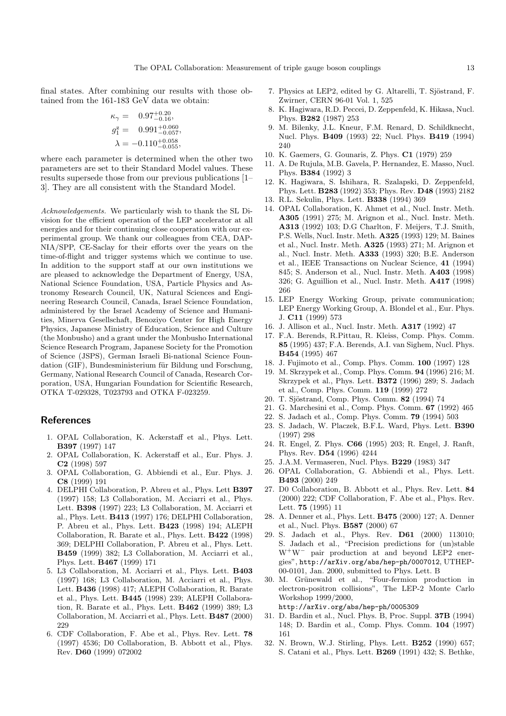final states. After combining our results with those obtained from the 161-183 GeV data we obtain:

$$
\kappa_{\gamma} = 0.97^{+0.20}_{-0.16},
$$
  
\n
$$
g_1^z = 0.991^{+0.060}_{-0.057},
$$
  
\n
$$
\lambda = -0.110^{+0.058}_{-0.055},
$$

where each parameter is determined when the other two parameters are set to their Standard Model values. These results supersede those from our previous publications [1– 3]. They are all consistent with the Standard Model.

Acknowledgements. We particularly wish to thank the SL Division for the efficient operation of the LEP accelerator at all energies and for their continuing close cooperation with our experimental group. We thank our colleagues from CEA, DAP-NIA/SPP, CE-Saclay for their efforts over the years on the time-of-flight and trigger systems which we continue to use. In addition to the support staff at our own institutions we are pleased to acknowledge the Department of Energy, USA, National Science Foundation, USA, Particle Physics and Astronomy Research Council, UK, Natural Sciences and Engineering Research Council, Canada, Israel Science Foundation, administered by the Israel Academy of Science and Humanities, Minerva Gesellschaft, Benoziyo Center for High Energy Physics, Japanese Ministry of Education, Science and Culture (the Monbusho) and a grant under the Monbusho International Science Research Program, Japanese Society for the Promotion of Science (JSPS), German Israeli Bi-national Science Foundation (GIF), Bundesministerium für Bildung und Forschung, Germany, National Research Council of Canada, Research Corporation, USA, Hungarian Foundation for Scientific Research, OTKA T-029328, T023793 and OTKA F-023259.

### **References**

- 1. OPAL Collaboration, K. Ackerstaff et al., Phys. Lett. **B397** (1997) 147
- 2. OPAL Collaboration, K. Ackerstaff et al., Eur. Phys. J. **C2** (1998) 597
- 3. OPAL Collaboration, G. Abbiendi et al., Eur. Phys. J. **C8** (1999) 191
- 4. DELPHI Collaboration, P. Abreu et al., Phys. Lett **B397** (1997) 158; L3 Collaboration, M. Acciarri et al., Phys. Lett. **B398** (1997) 223; L3 Collaboration, M. Acciarri et al., Phys. Lett. **B413** (1997) 176; DELPHI Collaboration, P. Abreu et al., Phys. Lett. **B423** (1998) 194; ALEPH Collaboration, R. Barate et al., Phys. Lett. **B422** (1998) 369; DELPHI Collaboration, P. Abreu et al., Phys. Lett. **B459** (1999) 382; L3 Collaboration, M. Acciarri et al., Phys. Lett. **B467** (1999) 171
- 5. L3 Collaboration, M. Acciarri et al., Phys. Lett. **B403** (1997) 168; L3 Collaboration, M. Acciarri et al., Phys. Lett. **B436** (1998) 417; ALEPH Collaboration, R. Barate et al., Phys. Lett. **B445** (1998) 239; ALEPH Collaboration, R. Barate et al., Phys. Lett. **B462** (1999) 389; L3 Collaboration, M. Acciarri et al., Phys. Lett. **B487** (2000) 229
- 6. CDF Collaboration, F. Abe et al., Phys. Rev. Lett. **78** (1997) 4536; D0 Collaboration, B. Abbott et al., Phys. Rev. **D60** (1999) 072002
- 7. Physics at LEP2, edited by G. Altarelli, T. Sjöstrand, F. Zwirner, CERN 96-01 Vol. 1, 525
- 8. K. Hagiwara, R.D. Peccei, D. Zeppenfeld, K. Hikasa, Nucl. Phys. **B282** (1987) 253
- 9. M. Bilenky, J.L. Kneur, F.M. Renard, D. Schildknecht, Nucl. Phys. **B409** (1993) 22; Nucl. Phys. **B419** (1994) 240
- 10. K. Gaemers, G. Gounaris, Z. Phys. **C1** (1979) 259
- 11. A. De Rujula, M.B. Gavela, P. Hernandez, E. Masso, Nucl. Phys. **B384** (1992) 3
- 12. K. Hagiwara, S. Ishihara, R. Szalapski, D. Zeppenfeld, Phys. Lett. **B283** (1992) 353; Phys. Rev. **D48** (1993) 2182
- 13. R.L. Sekulin, Phys. Lett. **B338** (1994) 369
- 14. OPAL Collaboration, K. Ahmet et al., Nucl. Instr. Meth. **A305** (1991) 275; M. Arignon et al., Nucl. Instr. Meth. **A313** (1992) 103; D.G Charlton, F. Meijers, T.J. Smith, P.S. Wells, Nucl. Instr. Meth. **A325** (1993) 129; M. Baines et al., Nucl. Instr. Meth. **A325** (1993) 271; M. Arignon et al., Nucl. Instr. Meth. **A333** (1993) 320; B.E. Anderson et al., IEEE Transactions on Nuclear Science, **41** (1994) 845; S. Anderson et al., Nucl. Instr. Meth. **A403** (1998) 326; G. Aguillion et al., Nucl. Instr. Meth. **A417** (1998) 266
- 15. LEP Energy Working Group, private communication; LEP Energy Working Group, A. Blondel et al., Eur. Phys. J. **C11** (1999) 573
- 16. J. Allison et al., Nucl. Instr. Meth. **A317** (1992) 47
- 17. F.A. Berends, R.Pittau, R. Kleiss, Comp. Phys. Comm. **85** (1995) 437; F.A. Berends, A.I. van Sighem, Nucl. Phys. **B454** (1995) 467
- 18. J. Fujimoto et al., Comp. Phys. Comm. **100** (1997) 128
- 19. M. Skrzypek et al., Comp. Phys. Comm. **94** (1996) 216; M. Skrzypek et al., Phys. Lett. **B372** (1996) 289; S. Jadach et al., Comp. Phys. Comm. **119** (1999) 272
- 20. T. Sjöstrand, Comp. Phys. Comm. **82** (1994) 74
- 21. G. Marchesini et al., Comp. Phys. Comm. **67** (1992) 465
- 22. S. Jadach et al., Comp. Phys. Comm. **79** (1994) 503
- 23. S. Jadach, W. Placzek, B.F.L. Ward, Phys. Lett. **B390** (1997) 298
- 24. R. Engel, Z. Phys. **C66** (1995) 203; R. Engel, J. Ranft, Phys. Rev. **D54** (1996) 4244
- 25. J.A.M. Vermaseren, Nucl. Phys. **B229** (1983) 347
- 26. OPAL Collaboration, G. Abbiendi et al., Phys. Lett. **B493** (2000) 249
- 27. D0 Collaboration, B. Abbott et al., Phys. Rev. Lett. **84** (2000) 222; CDF Collaboration, F. Abe et al., Phys. Rev. Lett. **75** (1995) 11
- 28. A. Denner et al., Phys. Lett. **B475** (2000) 127; A. Denner et al., Nucl. Phys. **B587** (2000) 67
- 29. S. Jadach et al., Phys. Rev. **D61** (2000) 113010; S. Jadach et al., "Precision predictions for (un)stable W<sup>+</sup>W<sup>−</sup> pair production at and beyond LEP2 energies", http://arXiv.org/abs/hep-ph/0007012, UTHEP-00-0101, Jan. 2000, submitted to Phys. Lett. B
- 30. M. Grünewald et al., "Four-fermion production in electron-positron collisions", The LEP-2 Monte Carlo Workshop 1999/2000, http://arXiv.org/abs/hep-ph/0005309
- 31. D. Bardin et al., Nucl. Phys. B, Proc. Suppl. **37B** (1994) 148; D. Bardin et al., Comp. Phys. Comm. **104** (1997)
- 161 32. N. Brown, W.J. Stirling, Phys. Lett. **B252** (1990) 657; S. Catani et al., Phys. Lett. **B269** (1991) 432; S. Bethke,